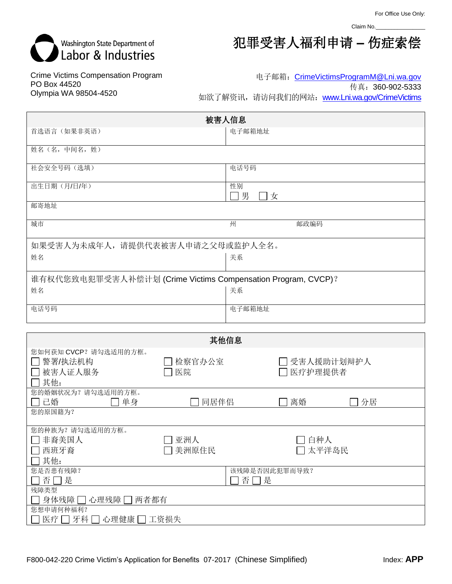Claim No.\_



犯罪受害人福利申请 **–** 伤症索偿

Crime Victims Compensation Program PO Box 44520 Olympia WA 98504-4520

电子邮箱: [CrimeVictimsProgramM@Lni.wa.gov](mailto:CrimeVictimsProgramM@Lni.wa.gov)

传真:360-902-5333

如欲了解资讯,请访问我们的网站: [www.Lni.wa.gov/CrimeVictims](http://www.lni.wa.gov/CrimeVictims)

| 被害人信息                                                        |        |               |         |              |  |  |
|--------------------------------------------------------------|--------|---------------|---------|--------------|--|--|
| 首选语言(如果非英语)                                                  |        | 电子邮箱地址        |         |              |  |  |
| 姓名(名,中间名,姓)                                                  |        |               |         |              |  |  |
| 社会安全号码 (选填)                                                  |        | 电话号码          |         |              |  |  |
|                                                              |        |               |         |              |  |  |
| 出生日期(月/日/年)                                                  |        | 性别<br>男<br>コ女 |         |              |  |  |
| 邮寄地址                                                         |        |               |         |              |  |  |
| 城市                                                           |        | 州             | 邮政编码    |              |  |  |
| 如果受害人为未成年人, 请提供代表被害人申请之父母或监护人全名。                             |        |               |         |              |  |  |
| 姓名                                                           |        | 关系            |         |              |  |  |
|                                                              |        |               |         |              |  |  |
| 谁有权代您致电犯罪受害人补偿计划 (Crime Victims Compensation Program, CVCP)? |        |               |         |              |  |  |
| 姓名                                                           |        | 关系            |         |              |  |  |
| 电话号码                                                         |        | 电子邮箱地址        |         |              |  |  |
|                                                              |        |               |         |              |  |  |
|                                                              |        |               |         |              |  |  |
|                                                              |        | 其他信息          |         |              |  |  |
| 您如何获知 CVCP?请勾选适用的方框。                                         |        |               |         |              |  |  |
| 警署/执法机构                                                      | 检察官办公室 |               |         | 7 受害人援助计划辩护人 |  |  |
| 被害人证人服务<br>其他:                                               | 医院     |               | 医疗护理提供者 |              |  |  |
| 您的婚姻状况为?请勾选适用的方框。                                            |        |               |         |              |  |  |
| 己婚<br>单身                                                     | 同居伴侣   |               | 离婚      | 分居           |  |  |
| 你的百国链为?                                                      |        |               |         |              |  |  |

| 芯印J/尓  当箱/J・            |         |               |  |  |
|-------------------------|---------|---------------|--|--|
| 您的种族为?请勾选适用的方框。         |         |               |  |  |
| □ 非裔美国人                 | 亚洲人     | □ 白种人         |  |  |
| □ 西班牙裔                  | □ 美洲原住民 | □太平洋岛民        |  |  |
| $\Box$ 其他:              |         |               |  |  |
| 您是否患有残障?                |         | 该残障是否因此犯罪而导致? |  |  |
| □否□是                    |         | 否口是           |  |  |
| 残障类型                    |         |               |  |  |
| □ 身体残障 □ 心理残障 □ 两者都有    |         |               |  |  |
| 您想申请何种福利?               |         |               |  |  |
| □ 医疗 □ 牙科 □ 心理健康 □ 工资损失 |         |               |  |  |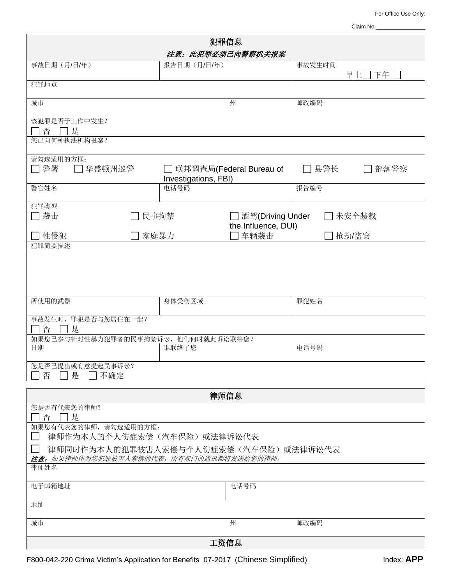For Office Use Only:

| Claim No. |  |  |  |
|-----------|--|--|--|
|           |  |  |  |
|           |  |  |  |

| 犯罪信息                                                                            |                                                              |                           |                  |  |  |  |
|---------------------------------------------------------------------------------|--------------------------------------------------------------|---------------------------|------------------|--|--|--|
| 注意: 此犯罪必须已向警察机关报案                                                               |                                                              |                           |                  |  |  |  |
| 事故日期(月/日/年)                                                                     | 报告日期(月/日/年)                                                  |                           | 事故发生时间<br>早上□ 下午 |  |  |  |
| 犯罪地点                                                                            |                                                              |                           |                  |  |  |  |
| 城市                                                                              |                                                              | 州                         | 邮政编码             |  |  |  |
| 该犯罪是否于工作中发生?<br>是<br>否                                                          |                                                              |                           |                  |  |  |  |
| 您已向何种执法机构报案?                                                                    |                                                              |                           |                  |  |  |  |
| 请勾选适用的方框:<br>警署<br>华盛顿州巡警                                                       | Investigations, FBI)                                         | ̄ 联邦调査局(Federal Bureau of | 县警长<br>部落警察      |  |  |  |
| 警官姓名                                                                            | 电话号码                                                         |                           | 报告编号             |  |  |  |
| 犯罪类型<br>□ 袭击                                                                    | 民事拘禁<br>□ 酒驾(Driving Under<br>□ 未安全装载<br>the Influence, DUI) |                           |                  |  |  |  |
| 家庭暴力<br>性侵犯<br>犯罪简要描述                                                           |                                                              | 车辆袭击                      | 抢劫/盗窃            |  |  |  |
|                                                                                 |                                                              |                           |                  |  |  |  |
| 所使用的武器                                                                          | 身体受伤区域                                                       |                           | 罪犯姓名             |  |  |  |
| 事故发生时, 罪犯是否与您居住在一起?<br>是<br>否                                                   |                                                              |                           |                  |  |  |  |
| 如果您已参与针对性暴力犯罪者的民事拘禁诉讼,他们何时就此诉讼联络您?<br>日期                                        | 谁联络了您                                                        |                           | 电话号码             |  |  |  |
| 您是否已提出或有意提起民事诉讼?<br>是<br>不确定<br>否                                               |                                                              |                           |                  |  |  |  |
| 律师信息                                                                            |                                                              |                           |                  |  |  |  |
| 您是否有代表您的律师?                                                                     |                                                              |                           |                  |  |  |  |
| 否<br>□是<br>如果您有代表您的律师,请勾选适用的方框:<br>律师作为本人的个人伤症索偿(汽车保险)或法律诉讼代表                   |                                                              |                           |                  |  |  |  |
| 律师同时作为本人的犯罪被害人索偿与个人伤症索偿(汽车保险)或法律诉讼代表<br>注意: 如果律师作为您犯罪被害人索偿的代表,所有部门的通讯都将发送给您的律师。 |                                                              |                           |                  |  |  |  |
| 律师姓名                                                                            |                                                              |                           |                  |  |  |  |
| 电子邮箱地址                                                                          |                                                              | 电话号码                      |                  |  |  |  |
| 地址                                                                              |                                                              |                           |                  |  |  |  |
| 城市                                                                              |                                                              | 州                         | 邮政编码             |  |  |  |
| 工资信息                                                                            |                                                              |                           |                  |  |  |  |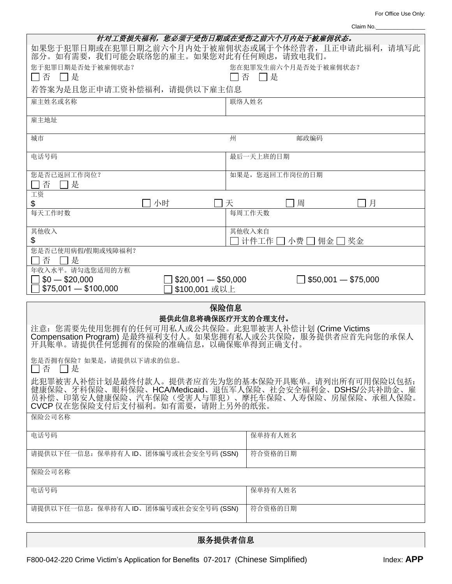For Office Use Only:

|                                                                                                                                                                                                      | Claim No.                         |  |  |  |  |
|------------------------------------------------------------------------------------------------------------------------------------------------------------------------------------------------------|-----------------------------------|--|--|--|--|
| 针对工资损失福利,您必须于受伤日期或在受伤之前六个月内处于被雇佣状态。                                                                                                                                                                  |                                   |  |  |  |  |
| 如果您于犯罪日期或在犯罪日期之前六个月内处于被雇佣状态或属于个体经营者,且正申请此福利,请填写此<br>部分。如有需要, 我们可能会联络您的雇主。如果您对此有任何顾虑, 请致电我们。                                                                                                          |                                   |  |  |  |  |
| 您于犯罪日期是否处于被雇佣状态?<br>□否 □是                                                                                                                                                                            | 您在犯罪发生前六个月是否处于被雇佣状态?<br>□ 是<br> 否 |  |  |  |  |
| 若答案为是且您正申请工资补偿福利, 请提供以下雇主信息                                                                                                                                                                          |                                   |  |  |  |  |
| 雇主姓名或名称                                                                                                                                                                                              | 联络人姓名                             |  |  |  |  |
| 雇主地址                                                                                                                                                                                                 |                                   |  |  |  |  |
|                                                                                                                                                                                                      |                                   |  |  |  |  |
| 城市                                                                                                                                                                                                   | 州<br>邮政编码                         |  |  |  |  |
| 电话号码                                                                                                                                                                                                 | 最后一天上班的日期                         |  |  |  |  |
| 您是否已返回工作岗位?<br>是<br>否                                                                                                                                                                                | 如果是,您返回工作岗位的日期                    |  |  |  |  |
| 工资<br>小时<br>\$                                                                                                                                                                                       | 周<br>月<br>天                       |  |  |  |  |
| 每天工作时数                                                                                                                                                                                               | 每周工作天数                            |  |  |  |  |
| 其他收入                                                                                                                                                                                                 | 其他收入来自                            |  |  |  |  |
| \$<br>您是否已使用病假/假期或残障福利?                                                                                                                                                                              | 计件工作 □ 小费 □ 佣金 [<br>奖金            |  |  |  |  |
| 否<br>- 1 是                                                                                                                                                                                           |                                   |  |  |  |  |
| 年收入水平。请勾选您适用的方框<br>$$20,001 - $50,000$<br>$$50,001 - $75,000$<br>$$0 - $20,000$<br>$$75,001 - $100,000$<br>\$100,001 或以上                                                                             |                                   |  |  |  |  |
| 保险信息                                                                                                                                                                                                 |                                   |  |  |  |  |
| 提供此信息将确保医疗开支的合理支付。                                                                                                                                                                                   |                                   |  |  |  |  |
| 注意: 您需要先使用您拥有的任何可用私人或公共保险。此犯罪被害人补偿计划 (Crime Victims Compensation Program) 是最终福利支付人。如果您拥有私人或公共保险, 服务提供者应首先向您的承保人<br>开具账单。请提供任何您拥有的保险的准确信息, 以确保账单得到正确支付。                                               |                                   |  |  |  |  |
| 您是否拥有保险?如果是,请提供以下请求的信息。<br>ヿ是<br>否                                                                                                                                                                   |                                   |  |  |  |  |
| 此犯罪被害人补偿计划是最终付款人。提供者应首先为您的基本保险开具账单。请列出所有可用保险以包括:<br>健康保险、牙科保险、眼科保险、HCA/Medicaid、退伍军人保险、社会安全福利金、DSHS/公共补助金、雇<br>员补偿、印第安人健康保险、汽车保险(受害人与罪犯)、摩托车保险、人寿保险、房屋保险、承租人保险。<br>CVCP 仅在您保险支付后支付福利。如有需要, 请附上另外的纸张。 |                                   |  |  |  |  |
| 保险公司名称                                                                                                                                                                                               |                                   |  |  |  |  |
| 电话号码                                                                                                                                                                                                 | 保单持有人姓名                           |  |  |  |  |
| 请提供以下任一信息: 保单持有人 ID、团体编号或社会安全号码 (SSN)                                                                                                                                                                | 符合资格的日期                           |  |  |  |  |
| 保险公司名称                                                                                                                                                                                               |                                   |  |  |  |  |
| 电话号码                                                                                                                                                                                                 | 保单持有人姓名                           |  |  |  |  |
| 请提供以下任一信息: 保单持有人 ID、团体编号或社会安全号码 (SSN)                                                                                                                                                                | 符合资格的日期                           |  |  |  |  |
|                                                                                                                                                                                                      |                                   |  |  |  |  |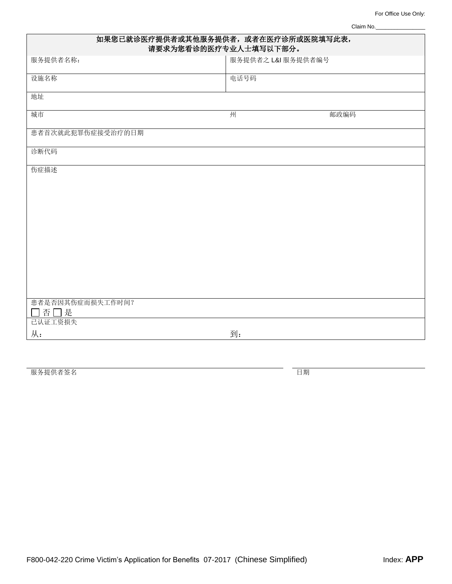Claim No.\_\_\_\_

| 如果您已就诊医疗提供者或其他服务提供者, 或者在医疗诊所或医院填写此表,<br>请要求为您看诊的医疗专业人士填写以下部分。 |                    |      |  |  |
|---------------------------------------------------------------|--------------------|------|--|--|
| 服务提供者名称:                                                      | 服务提供者之 L&I 服务提供者编号 |      |  |  |
| 设施名称                                                          | 电话号码               |      |  |  |
| 地址                                                            |                    |      |  |  |
| 城市                                                            | 州                  | 邮政编码 |  |  |
| 患者首次就此犯罪伤症接受治疗的日期                                             |                    |      |  |  |
| 诊断代码                                                          |                    |      |  |  |
| 伤症描述                                                          |                    |      |  |  |
|                                                               |                    |      |  |  |
|                                                               |                    |      |  |  |
|                                                               |                    |      |  |  |
|                                                               |                    |      |  |  |
|                                                               |                    |      |  |  |
|                                                               |                    |      |  |  |
| 患者是否因其伤症而损失工作时间?                                              |                    |      |  |  |
| □否□是<br>己认证工资损失                                               |                    |      |  |  |
| 从:                                                            | 到:                 |      |  |  |

服务提供者签名 日期 こうしょう こうしょう こうしょう おおところ 日期